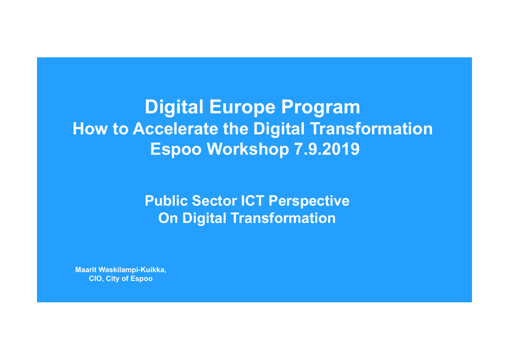# **Digital Europe Program How to Accelerate the Digital Transformation Espoo Workshop 7.9.2019**

**Public Sector ICT Perspective On Digital Transformation** 

**Maarit Waskilampi-Kuikka, CIO, City of Espoo**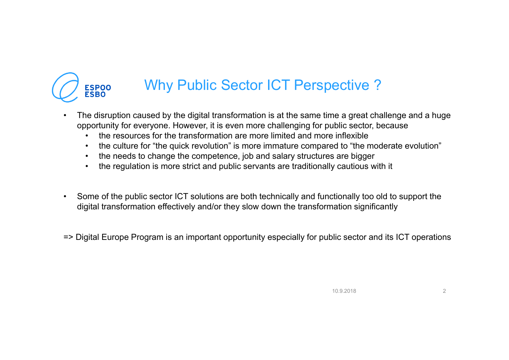

## Why Public Sector ICT Perspective ?

- • The disruption caused by the digital transformation is at the same time a great challenge and a huge opportunity for everyone. However, it is even more challenging for public sector, because
	- •the resources for the transformation are more limited and more inflexible
	- •the culture for "the quick revolution" is more immature compared to "the moderate evolution"
	- $\bullet$ the needs to change the competence, job and salary structures are bigger
	- •the regulation is more strict and public servants are traditionally cautious with it
- Some of the public sector ICT solutions are both technically and functionally too old to support the digital transformation effectively and/or they slow down the transformation significantly
- => Digital Europe Program is an important opportunity especially for public sector and its ICT operations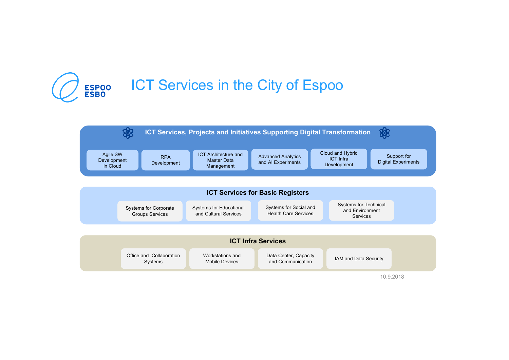

## **ICT Services in the City of Espoo**



10.9.2018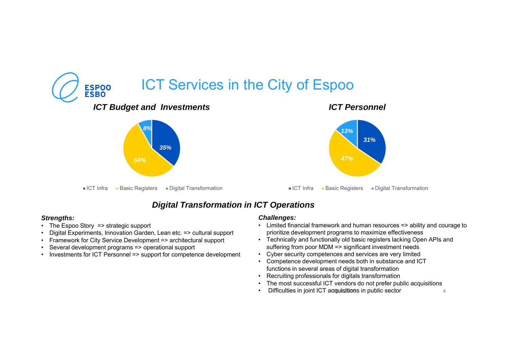

### *Digital Transformation in ICT Operations*

#### *Strengths:*

- The Espoo Story => strategic support
- Digital Experiments, Innovation Garden, Lean etc. => cultural support
- Framework for City Service Development => architectural support
- •Several development programs => operational support
- Investments for ICT Personnel => support for competence development

#### *Challenges:*

- Limited financial framework and human resources => ability and courage to prioritize development programs to maximize effectiveness
- Technically and functionally old basic registers lacking Open APIs and suffering from poor MDM => significant investment needs
- Cyber security competences and services are very limited
- Competence development needs both in substance and ICT functions in several areas of digital transformation
- Recruiting professionals for digitals transformation
- •The most successful ICT vendors do not prefer public acquisitions
- Difficulties in joint ICT acquisitions in public sector 4